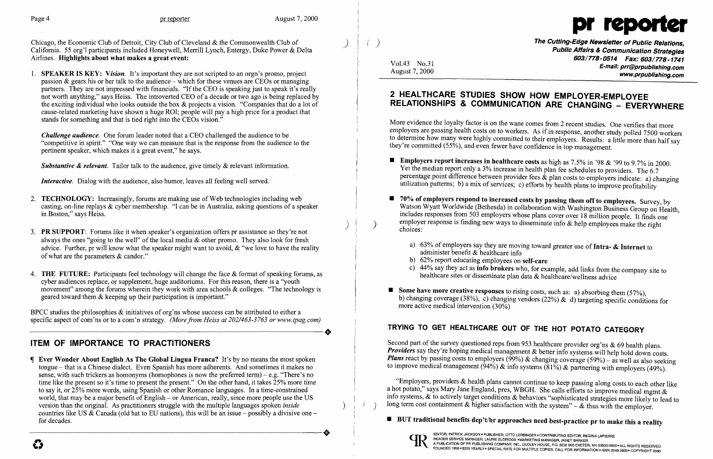

1. SPEAKER IS KEY: *Vision.* It's important they are not scripted to an orgn's promo, project passion  $\&$  gears his or her talk to the audience – which for these venues are CEOs or managing partners. They are not impressed with financials. "If the CEO is speaking just to speak it's really not worth anything," says Heiss. The introverted CEO of a decade or two ago is being replaced by partners. They are not impressed with imancials. In the CEO is speaking just to speak it s really<br>not worth anything," says Heiss. The introverted CEO of a decade or two ago is being replaced by **2 HEALTHCARE STUDIES SHOW** cause-related marketing have shown a huge ROI; people will pay a high price for a product that stands for something and that is tied right into the CEOs vision."

Chicago, the Economic Club of Detroit, City Club of Cleveland & the Commonwealth Club of **Club and Club of Club**<br>California. 55 org'l participants included Honeywell, Merrill Lynch, Entergy, Duke Power & Delta **Delta Mulle** Airlines. Highlights about what makes a great event:

Public Affairs & Communication Strategies 603/778-0514 Fax: 603/778-1741 E-mail: prr@prpublishing.com www.prpublishing.com

Vol.43 No.31 August 7, 2000

# RELATIONSHIPS & COMMUNICATION ARE CHANGING - EVERYWHERE

More evidence the loyalty factor is on the wane comes from 2 recent studies. One verifies that more employers are passing health costs on to workers. As if in response, another study polled 7500 workers to determine how many were highly committed to their employers. Results: a little more than half say they're committed (55%), and even fewer have confidence in top management.

Yet the median report only a 3% increase in health plan fee schedules to providers. The 6.7 *Interactive*. Dialog with the audience, also humor, leaves all feeling well served.<br> **Interactive.** Dialog with the audience, also humor, leaves all feeling well served.<br> **Interactive.** Dialog with the audience, also humo utilization patterns; b) a mix of services; c) efforts by health plans to improve profitability

> Watson Wyatt Worldwide (Bethesda) in collaboration with Washington Business Group on Health, includes responses from 503 employers whose plans cover over 18 million people. It finds one employer response is finding new ways to disseminate info  $\&$  help employees make the right

a) 63% of employers say they are moving toward greater use of Intra-  $\&$  Internet to

b) changing coverage (38%), c) changing vendors (22%) & d) targeting specific conditions for

*Challenge audience.* One forum leader noted that a CEO challenged the audience to be "competitive in spirit." "One way we can measure that is the response from the audience to the pertinent speaker, which makes it a great event," he says.

Substantive & *relevant*. Tailor talk to the audience, give timely & relevant information.<br>Substantive & *relevant*. Tailor talk to the audience, give timely & relevant information.<br>Substantive & relevant. Tailor talk to

- 2. TECHNOLOGY: Increasingly, forums are making use of Web technologies including web casting, on-line replays & cyber membership. "I can be in Australia, asking questions of a speaker in Boston," says Heiss.
- 3. PR SUPPORT: Forums like it when speaker's organization offers pr assistance so they're not always the ones "going to the well" of the local media  $\&$  other promo. They also look for fresh advice. Further, pr will know what the speaker might want to avoid, & "we love to have the reality of what are the parameters & candor."
- 4. THE FUTURE: Participants feel technology will change the face & format of speaking forums, as cyber audiences replace, or supplement, huge auditoriums. For this reason, there is a "youth movement" among the forums wherein they work with area schools  $\&$  colleges. "The technology is geared toward them & keeping up their participation is important."
- 
- 70% of employers respond to increased costs by passing them off to employees. Survey, by choices:
	- administer benefit & healthcare info
	- b) 62% report educating employees on self-care
	- c) 44% say they act as info brokers who, for example, add links from the company site to healthcare sites or disseminate plan data & healthcare/wellness advice
- **Some have more creative responses** to rising costs, such as: a) absorbing them  $(57\%)$ , more active medical intervention (30%)

# TRYING TO GET HEALTHCARE OUT OF THE HOT POTATO CATEGORY<br>ITEM OF IMPORTANCE TO PRACTITIONERS<br>Second part of the survey questioned reps from 953 healthcare provider org'ns & 69 health

Second part of the survey questioned reps from 953 healthcare provider org'ns  $\&$  69 health plans. **Providers** say they're hoping medical management & better info systems will help hold down costs. Figure Wonder About English As The Global Lingua Franca? It's by no means the most spoken *Plans* react by passing costs to employers (99%) & changing coverage (59%) – as well as also seeking tongue – that is a Chinese di to improve medical management  $(94\%)$  & info systems  $(81\%)$  & partnering with employers (49%).

a hot potato," says Mary Jane England, pres, WBGH. She calls efforts to improve medical mgmt-&<br>info systems, & to actively target conditions & behaviors "sophisticated strategies more likely to lead to world, that may be a major benefit of English – or American, really, since more people use the US<br>version than the original. As practitioners struggle with the multiple languages spoken *inside* (b) long term cost contain



BPCC studies the philosophies & initiatives of org'ns whose success can be attributed to either a specific aspect of com'ns or to a com'n strategy. *(More from Heiss at 202/463-3763 or www.tpag.com)* 

sense, with such trickers as homonyms (homophones is now the preferred term) – e.g. "There's no time like the present so it's time to present the present." On the other hand, it takes  $25%$  more time time like the present so it's time to present the present." On the other hand, it takes 25% more time "Employers, providers & health plans cannot continue to keep passing along costs to each other like to say it, or 25% mo world, that may be a major benefit of English – or American, really, since more people use the US version than the original. As practitioners struggle with the multiple languages spoken *inside* countries like US & Canada (old hat to EU nations), this will be an issue - possibly a divisive one-----------------------+ for decades. • Contains the contains of the contains of the contains of the contains of the contains of the contains of the contains a reality of the decades.